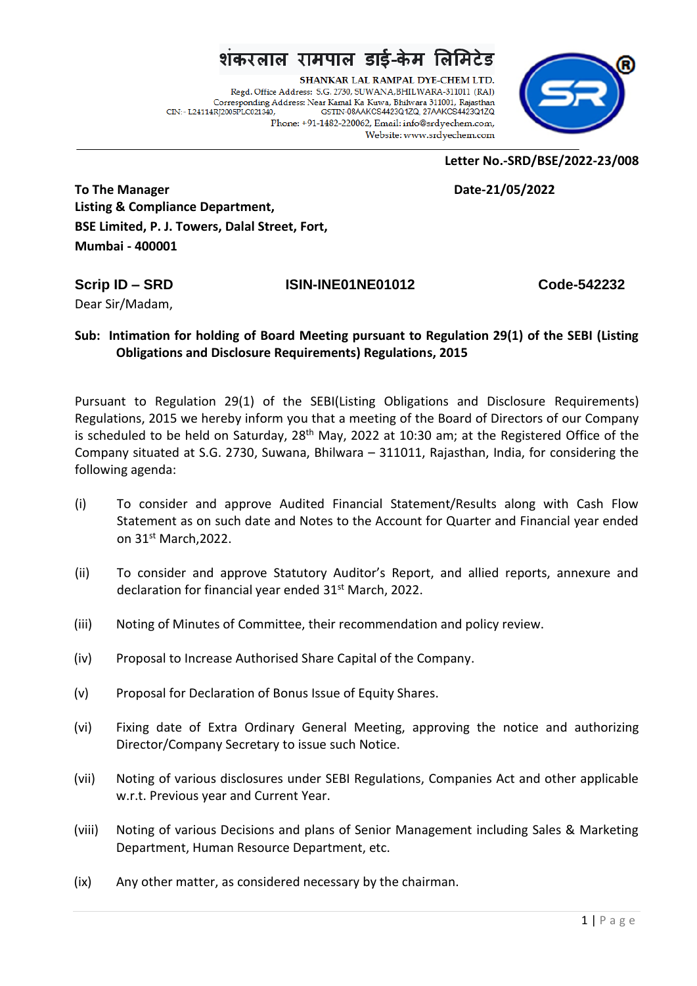## शंकरलाल रामपाल डाई-केम लिमिटेड

SHANKAR LAL RAMPAL DYE-CHEM LTD. Regd. Office Address: S.G. 2730, SUWANA, BHILWARA-311011 (RAJ) Corresponding Address: Near Kamal Ka Kuwa, Bhilwara 311001, Rajasthan CIN: - L24114RJ2005PLC021340, GSTIN-08AAKCS4423Q1ZQ, 27AAKCS4423Q1ZQ Phone: +91-1482-220062, Email: info@srdyechem.com, Website: www.srdvechem.com



**Letter No.-SRD/BSE/2022-23/008**

**To The Manager Date-21/05/2022 Listing & Compliance Department, BSE Limited, P. J. Towers, Dalal Street, Fort, Mumbai - 400001**

Dear Sir/Madam,

## **Scrip ID – SRD ISIN-INE01NE01012 Code-542232**

## **Sub: Intimation for holding of Board Meeting pursuant to Regulation 29(1) of the SEBI (Listing Obligations and Disclosure Requirements) Regulations, 2015**

Pursuant to Regulation 29(1) of the SEBI(Listing Obligations and Disclosure Requirements) Regulations, 2015 we hereby inform you that a meeting of the Board of Directors of our Company is scheduled to be held on Saturday,  $28<sup>th</sup>$  May, 2022 at 10:30 am; at the Registered Office of the Company situated at S.G. 2730, Suwana, Bhilwara – 311011, Rajasthan, India, for considering the following agenda:

- (i) To consider and approve Audited Financial Statement/Results along with Cash Flow Statement as on such date and Notes to the Account for Quarter and Financial year ended on 31<sup>st</sup> March, 2022.
- (ii) To consider and approve Statutory Auditor's Report, and allied reports, annexure and declaration for financial year ended 31st March, 2022.
- (iii) Noting of Minutes of Committee, their recommendation and policy review.
- (iv) Proposal to Increase Authorised Share Capital of the Company.
- (v) Proposal for Declaration of Bonus Issue of Equity Shares.
- (vi) Fixing date of Extra Ordinary General Meeting, approving the notice and authorizing Director/Company Secretary to issue such Notice.
- (vii) Noting of various disclosures under SEBI Regulations, Companies Act and other applicable w.r.t. Previous year and Current Year.
- (viii) Noting of various Decisions and plans of Senior Management including Sales & Marketing Department, Human Resource Department, etc.
- (ix) Any other matter, as considered necessary by the chairman.